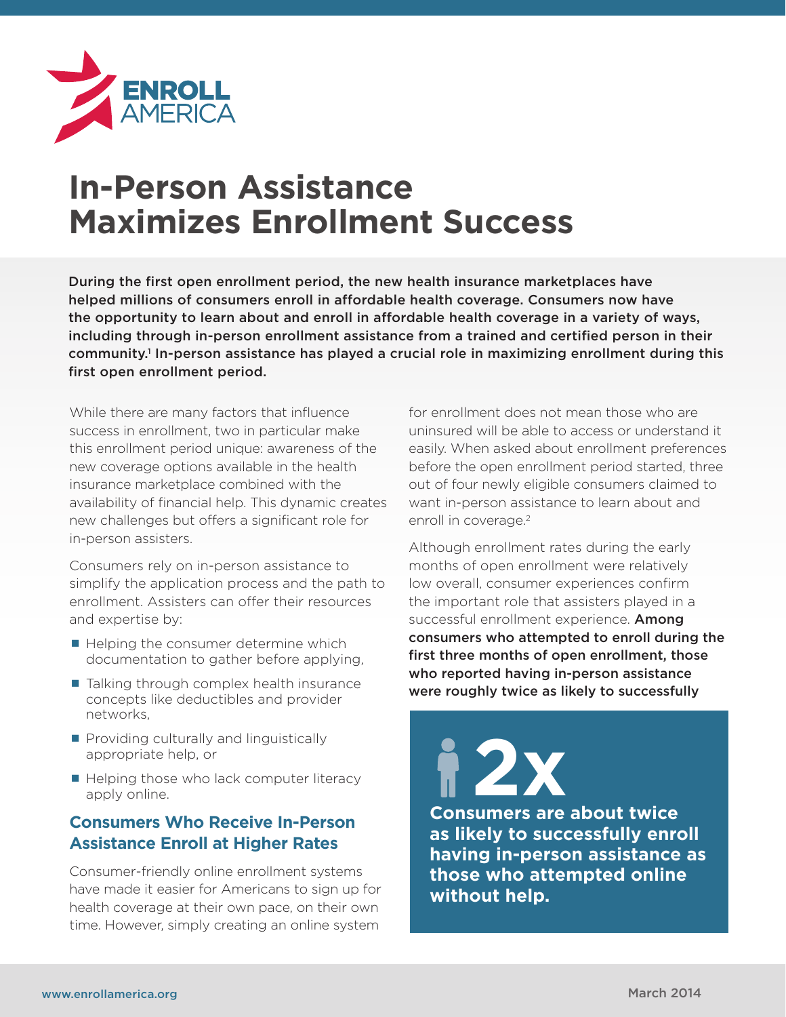

# **In-Person Assistance Maximizes Enrollment Success**

During the first open enrollment period, the new health insurance marketplaces have helped millions of consumers enroll in affordable health coverage. Consumers now have the opportunity to learn about and enroll in affordable health coverage in a variety of ways, including through in-person enrollment assistance from a trained and certified person in their community.<sup>1</sup> In-person assistance has played a crucial role in maximizing enrollment during this first open enrollment period.

While there are many factors that influence success in enrollment, two in particular make this enrollment period unique: awareness of the new coverage options available in the health insurance marketplace combined with the availability of financial help. This dynamic creates new challenges but offers a significant role for in-person assisters.

Consumers rely on in-person assistance to simplify the application process and the path to enrollment. Assisters can offer their resources and expertise by:

- $\blacksquare$  Helping the consumer determine which documentation to gather before applying,
- $\blacksquare$  Talking through complex health insurance concepts like deductibles and provider networks,
- **Providing culturally and linguistically** appropriate help, or
- $\blacksquare$  Helping those who lack computer literacy apply online.

## **Consumers Who Receive In-Person Assistance Enroll at Higher Rates**

Consumer-friendly online enrollment systems have made it easier for Americans to sign up for health coverage at their own pace, on their own time. However, simply creating an online system

for enrollment does not mean those who are uninsured will be able to access or understand it easily. When asked about enrollment preferences before the open enrollment period started, three out of four newly eligible consumers claimed to want in-person assistance to learn about and enroll in coverage.<sup>2</sup>

Although enrollment rates during the early months of open enrollment were relatively low overall, consumer experiences confirm the important role that assisters played in a successful enrollment experience. **Among** consumers who attempted to enroll during the first three months of open enrollment, those who reported having in-person assistance were roughly twice as likely to successfully

**Consumers are about twice as likely to successfully enroll having in-person assistance as those who attempted online without help. 2x**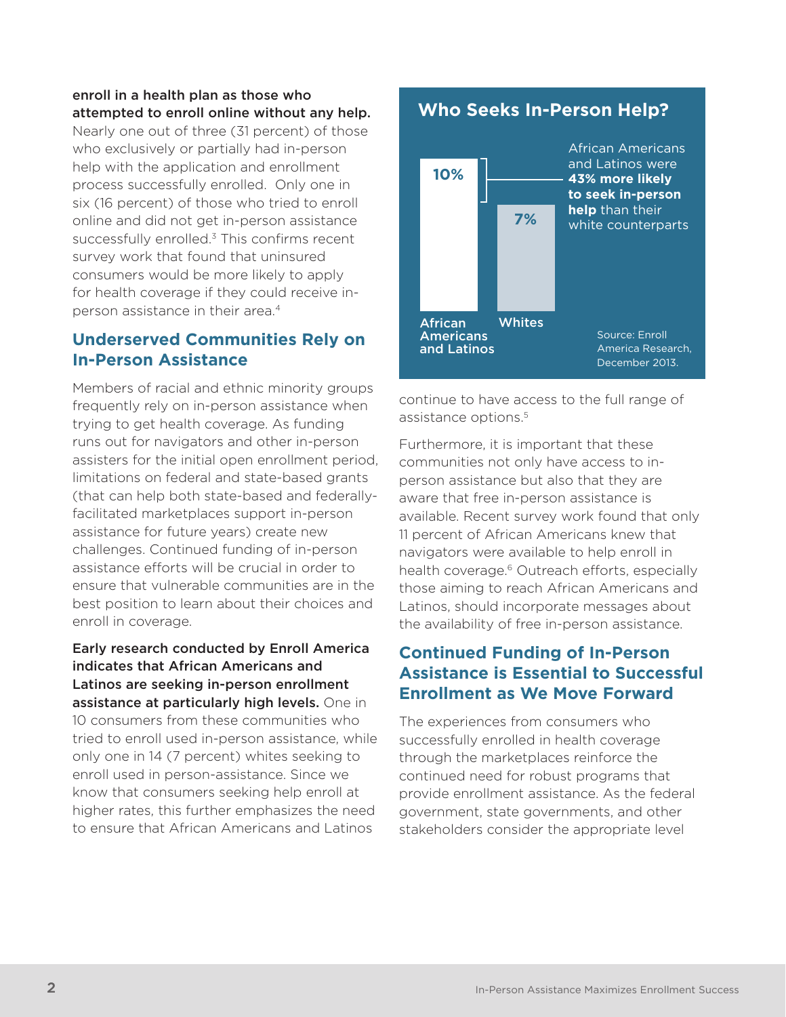#### enroll in a health plan as those who attempted to enroll online without any help.

Nearly one out of three (31 percent) of those who exclusively or partially had in-person help with the application and enrollment process successfully enrolled. Only one in six (16 percent) of those who tried to enroll online and did not get in-person assistance successfully enrolled. $3$  This confirms recent survey work that found that uninsured consumers would be more likely to apply for health coverage if they could receive inperson assistance in their area.4

# **Underserved Communities Rely on In-Person Assistance**

Members of racial and ethnic minority groups frequently rely on in-person assistance when trying to get health coverage. As funding runs out for navigators and other in-person assisters for the initial open enrollment period, limitations on federal and state-based grants (that can help both state-based and federallyfacilitated marketplaces support in-person assistance for future years) create new challenges. Continued funding of in-person assistance efforts will be crucial in order to ensure that vulnerable communities are in the best position to learn about their choices and enroll in coverage.

Early research conducted by Enroll America indicates that African Americans and Latinos are seeking in-person enrollment assistance at particularly high levels. One in 10 consumers from these communities who tried to enroll used in-person assistance, while only one in 14 (7 percent) whites seeking to enroll used in person-assistance. Since we know that consumers seeking help enroll at higher rates, this further emphasizes the need to ensure that African Americans and Latinos

# **Who Seeks In-Person Help?**



continue to have access to the full range of assistance options.<sup>5</sup>

Furthermore, it is important that these communities not only have access to inperson assistance but also that they are aware that free in-person assistance is available. Recent survey work found that only 11 percent of African Americans knew that navigators were available to help enroll in health coverage.<sup>6</sup> Outreach efforts, especially those aiming to reach African Americans and Latinos, should incorporate messages about the availability of free in-person assistance.

## **Continued Funding of In-Person Assistance is Essential to Successful Enrollment as We Move Forward**

The experiences from consumers who successfully enrolled in health coverage through the marketplaces reinforce the continued need for robust programs that provide enrollment assistance. As the federal government, state governments, and other stakeholders consider the appropriate level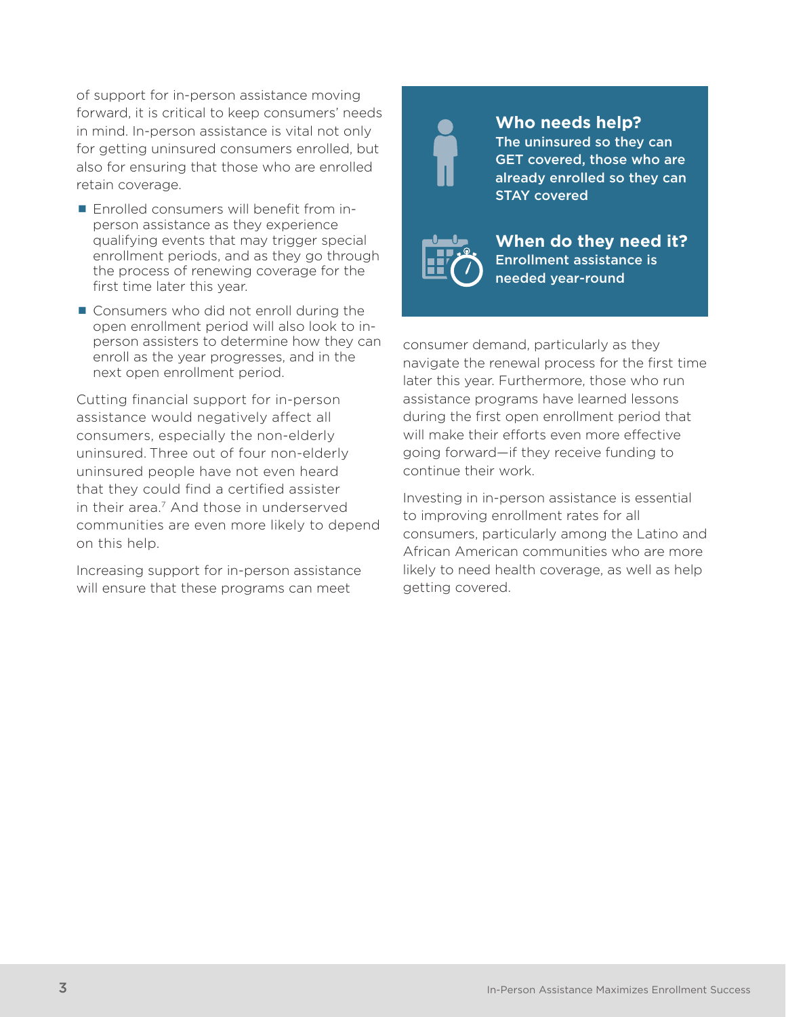of support for in-person assistance moving forward, it is critical to keep consumers' needs in mind. In-person assistance is vital not only for getting uninsured consumers enrolled, but also for ensuring that those who are enrolled retain coverage.

- **Enrolled consumers will benefit from in**person assistance as they experience qualifying events that may trigger special enrollment periods, and as they go through the process of renewing coverage for the first time later this year.
- Consumers who did not enroll during the open enrollment period will also look to inperson assisters to determine how they can enroll as the year progresses, and in the next open enrollment period.

Cutting financial support for in-person assistance would negatively affect all consumers, especially the non-elderly uninsured. Three out of four non-elderly uninsured people have not even heard that they could find a certified assister in their area.<sup>7</sup> And those in underserved communities are even more likely to depend on this help.

Increasing support for in-person assistance will ensure that these programs can meet

**Who needs help?** The uninsured so they can GET covered, those who are already enrolled so they can STAY covered



**When do they need it?** Enrollment assistance is needed year-round

consumer demand, particularly as they navigate the renewal process for the first time later this year. Furthermore, those who run assistance programs have learned lessons during the first open enrollment period that will make their efforts even more effective going forward—if they receive funding to continue their work.

Investing in in-person assistance is essential to improving enrollment rates for all consumers, particularly among the Latino and African American communities who are more likely to need health coverage, as well as help getting covered.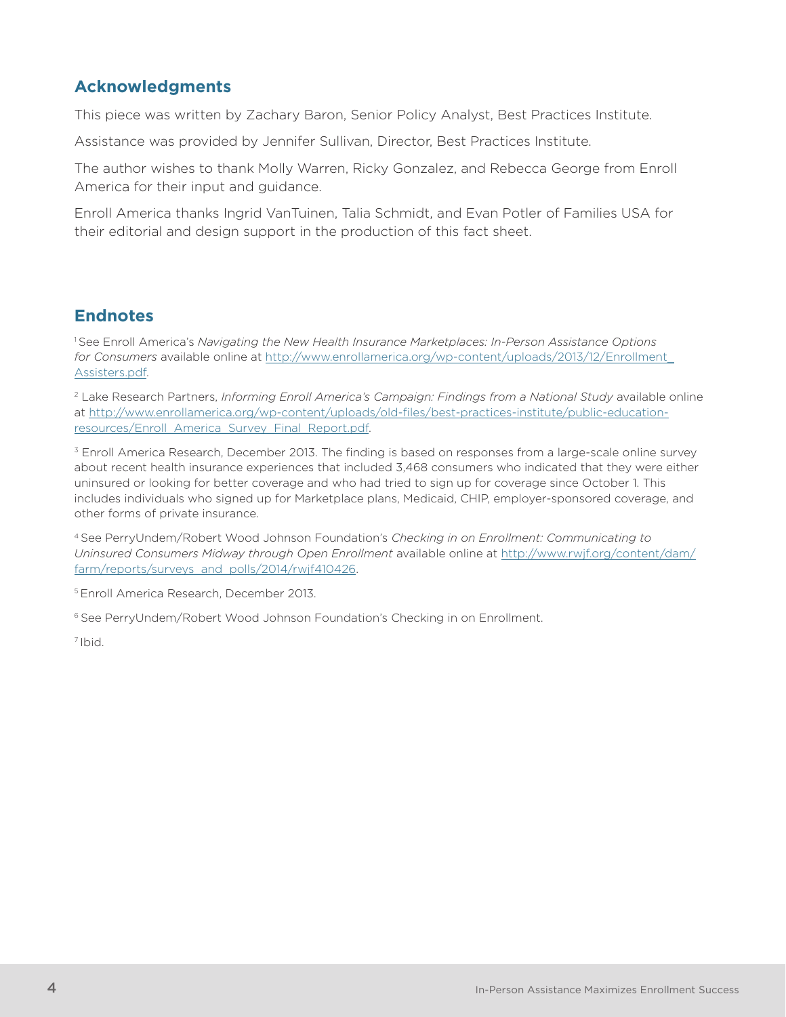# **Acknowledgments**

This piece was written by Zachary Baron, Senior Policy Analyst, Best Practices Institute.

Assistance was provided by Jennifer Sullivan, Director, Best Practices Institute.

The author wishes to thank Molly Warren, Ricky Gonzalez, and Rebecca George from Enroll America for their input and guidance.

Enroll America thanks Ingrid VanTuinen, Talia Schmidt, and Evan Potler of Families USA for their editorial and design support in the production of this fact sheet.

## **Endnotes**

1 See Enroll America's *Navigating the New Health Insurance Marketplaces: In-Person Assistance Options for Consumers* available online at http://www.enrollamerica.org/wp-content/uploads/2013/12/Enrollment\_ Assisters.pdf.

2 Lake Research Partners, *Informing Enroll America's Campaign: Findings from a National Study* available online at http://www.enrollamerica.org/wp-content/uploads/old-files/best-practices-institute/public-educationresources/Enroll\_America\_Survey\_Final\_Report.pdf.

<sup>3</sup> Enroll America Research, December 2013. The finding is based on responses from a large-scale online survey about recent health insurance experiences that included 3,468 consumers who indicated that they were either uninsured or looking for better coverage and who had tried to sign up for coverage since October 1. This includes individuals who signed up for Marketplace plans, Medicaid, CHIP, employer-sponsored coverage, and other forms of private insurance.

4 See PerryUndem/Robert Wood Johnson Foundation's *Checking in on Enrollment: Communicating to Uninsured Consumers Midway through Open Enrollment* available online at http://www.rwjf.org/content/dam/ farm/reports/surveys\_and\_polls/2014/rwjf410426.

5 Enroll America Research, December 2013.

6 See PerryUndem/Robert Wood Johnson Foundation's Checking in on Enrollment.

7 Ibid.